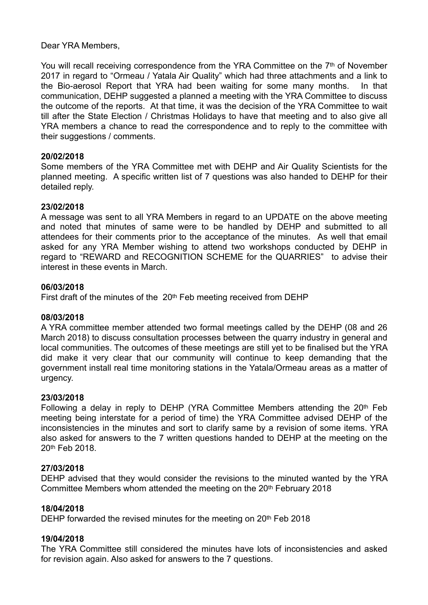Dear YRA Members,

You will recall receiving correspondence from the YRA Committee on the 7<sup>th</sup> of November 2017 in regard to "Ormeau / Yatala Air Quality" which had three attachments and a link to the Bio-aerosol Report that YRA had been waiting for some many months. In that communication, DEHP suggested a planned a meeting with the YRA Committee to discuss the outcome of the reports. At that time, it was the decision of the YRA Committee to wait till after the State Election / Christmas Holidays to have that meeting and to also give all YRA members a chance to read the correspondence and to reply to the committee with their suggestions / comments.

# **20/02/2018**

Some members of the YRA Committee met with DEHP and Air Quality Scientists for the planned meeting. A specific written list of 7 questions was also handed to DEHP for their detailed reply.

# **23/02/2018**

A message was sent to all YRA Members in regard to an UPDATE on the above meeting and noted that minutes of same were to be handled by DEHP and submitted to all attendees for their comments prior to the acceptance of the minutes. As well that email asked for any YRA Member wishing to attend two workshops conducted by DEHP in regard to "REWARD and RECOGNITION SCHEME for the QUARRIES" to advise their interest in these events in March.

## **06/03/2018**

First draft of the minutes of the 20<sup>th</sup> Feb meeting received from DEHP

# **08/03/2018**

A YRA committee member attended two formal meetings called by the DEHP (08 and 26 March 2018) to discuss consultation processes between the quarry industry in general and local communities. The outcomes of these meetings are still yet to be finalised but the YRA did make it very clear that our community will continue to keep demanding that the government install real time monitoring stations in the Yatala/Ormeau areas as a matter of urgency.

# **23/03/2018**

Following a delay in reply to DEHP (YRA Committee Members attending the 20th Feb meeting being interstate for a period of time) the YRA Committee advised DEHP of the inconsistencies in the minutes and sort to clarify same by a revision of some items. YRA also asked for answers to the 7 written questions handed to DEHP at the meeting on the 20th Feb 2018.

#### **27/03/2018**

DEHP advised that they would consider the revisions to the minuted wanted by the YRA Committee Members whom attended the meeting on the 20<sup>th</sup> February 2018

# **18/04/2018**

DEHP forwarded the revised minutes for the meeting on 20th Feb 2018

#### **19/04/2018**

The YRA Committee still considered the minutes have lots of inconsistencies and asked for revision again. Also asked for answers to the 7 questions.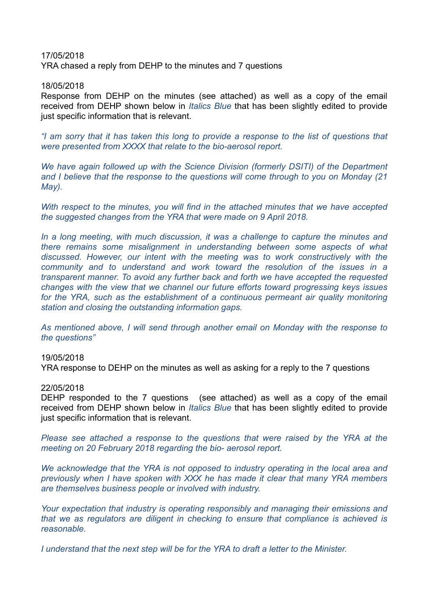# 17/05/2018 YRA chased a reply from DEHP to the minutes and 7 questions

### 18/05/2018

Response from DEHP on the minutes (see attached) as well as a copy of the email received from DEHP shown below in *Italics Blue* that has been slightly edited to provide just specific information that is relevant.

*"I am sorry that it has taken this long to provide a response to the list of questions that were presented from XXXX that relate to the bio-aerosol report.*

*We have again followed up with the Science Division (formerly DSITI) of the Department and I believe that the response to the questions will come through to you on Monday (21 May).*

*With respect to the minutes, you will find in the attached minutes that we have accepted the suggested changes from the YRA that were made on 9 April 2018.*

In a long meeting, with much discussion, it was a challenge to capture the minutes and *there remains some misalignment in understanding between some aspects of what discussed. However, our intent with the meeting was to work constructively with the community and to understand and work toward the resolution of the issues in a transparent manner. To avoid any further back and forth we have accepted the requested changes with the view that we channel our future efforts toward progressing keys issues*  for the YRA, such as the establishment of a continuous permeant air quality monitoring *station and closing the outstanding information gaps.*

*As mentioned above, I will send through another email on Monday with the response to the questions"*

#### 19/05/2018

YRA response to DEHP on the minutes as well as asking for a reply to the 7 questions

#### 22/05/2018

DEHP responded to the 7 questions (see attached) as well as a copy of the email received from DEHP shown below in *Italics Blue* that has been slightly edited to provide just specific information that is relevant.

*Please see attached a response to the questions that were raised by the YRA at the meeting on 20 February 2018 regarding the bio- aerosol report.*

*We acknowledge that the YRA is not opposed to industry operating in the local area and previously when I have spoken with XXX he has made it clear that many YRA members are themselves business people or involved with industry.*

*Your expectation that industry is operating responsibly and managing their emissions and that we as regulators are diligent in checking to ensure that compliance is achieved is reasonable.*

*I understand that the next step will be for the YRA to draft a letter to the Minister.*